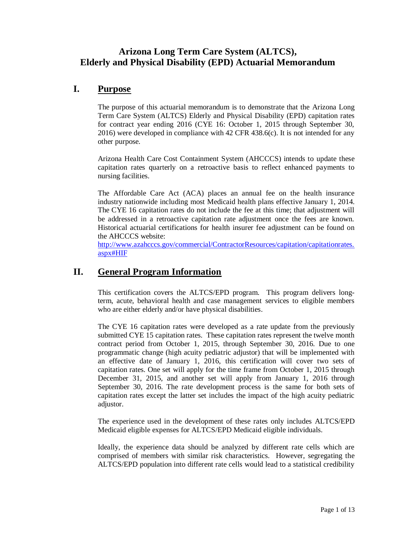# **Arizona Long Term Care System (ALTCS), Elderly and Physical Disability (EPD) Actuarial Memorandum**

## **I. Purpose**

The purpose of this actuarial memorandum is to demonstrate that the Arizona Long Term Care System (ALTCS) Elderly and Physical Disability (EPD) capitation rates for contract year ending 2016 (CYE 16: October 1, 2015 through September 30, 2016) were developed in compliance with 42 CFR 438.6(c). It is not intended for any other purpose.

Arizona Health Care Cost Containment System (AHCCCS) intends to update these capitation rates quarterly on a retroactive basis to reflect enhanced payments to nursing facilities.

The Affordable Care Act (ACA) places an annual fee on the health insurance industry nationwide including most Medicaid health plans effective January 1, 2014. The CYE 16 capitation rates do not include the fee at this time; that adjustment will be addressed in a retroactive capitation rate adjustment once the fees are known. Historical actuarial certifications for health insurer fee adjustment can be found on the AHCCCS website:

[http://www.azahcccs.gov/commercial/ContractorResources/capitation/capitationrates.](http://www.azahcccs.gov/commercial/ContractorResources/capitation/capitationrates.aspx#HIF) [aspx#HIF](http://www.azahcccs.gov/commercial/ContractorResources/capitation/capitationrates.aspx#HIF)

# **II. General Program Information**

This certification covers the ALTCS/EPD program. This program delivers longterm, acute, behavioral health and case management services to eligible members who are either elderly and/or have physical disabilities.

The CYE 16 capitation rates were developed as a rate update from the previously submitted CYE 15 capitation rates. These capitation rates represent the twelve month contract period from October 1, 2015, through September 30, 2016. Due to one programmatic change (high acuity pediatric adjustor) that will be implemented with an effective date of January 1, 2016, this certification will cover two sets of capitation rates. One set will apply for the time frame from October 1, 2015 through December 31, 2015, and another set will apply from January 1, 2016 through September 30, 2016. The rate development process is the same for both sets of capitation rates except the latter set includes the impact of the high acuity pediatric adjustor.

The experience used in the development of these rates only includes ALTCS/EPD Medicaid eligible expenses for ALTCS/EPD Medicaid eligible individuals.

Ideally, the experience data should be analyzed by different rate cells which are comprised of members with similar risk characteristics. However, segregating the ALTCS/EPD population into different rate cells would lead to a statistical credibility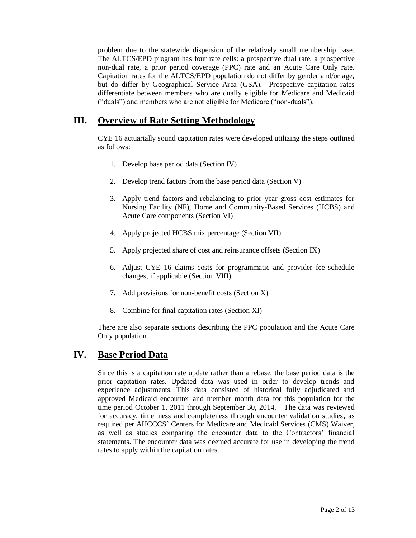problem due to the statewide dispersion of the relatively small membership base. The ALTCS/EPD program has four rate cells: a prospective dual rate, a prospective non-dual rate, a prior period coverage (PPC) rate and an Acute Care Only rate. Capitation rates for the ALTCS/EPD population do not differ by gender and/or age, but do differ by Geographical Service Area (GSA). Prospective capitation rates differentiate between members who are dually eligible for Medicare and Medicaid ("duals") and members who are not eligible for Medicare ("non-duals").

## **III. Overview of Rate Setting Methodology**

CYE 16 actuarially sound capitation rates were developed utilizing the steps outlined as follows:

- 1. Develop base period data (Section IV)
- 2. Develop trend factors from the base period data (Section V)
- 3. Apply trend factors and rebalancing to prior year gross cost estimates for Nursing Facility (NF), Home and Community-Based Services (HCBS) and Acute Care components (Section VI)
- 4. Apply projected HCBS mix percentage (Section VII)
- 5. Apply projected share of cost and reinsurance offsets (Section IX)
- 6. Adjust CYE 16 claims costs for programmatic and provider fee schedule changes, if applicable (Section VIII)
- 7. Add provisions for non-benefit costs (Section X)
- 8. Combine for final capitation rates (Section XI)

There are also separate sections describing the PPC population and the Acute Care Only population.

## **IV. Base Period Data**

Since this is a capitation rate update rather than a rebase, the base period data is the prior capitation rates. Updated data was used in order to develop trends and experience adjustments. This data consisted of historical fully adjudicated and approved Medicaid encounter and member month data for this population for the time period October 1, 2011 through September 30, 2014. The data was reviewed for accuracy, timeliness and completeness through encounter validation studies, as required per AHCCCS' Centers for Medicare and Medicaid Services (CMS) Waiver, as well as studies comparing the encounter data to the Contractors' financial statements. The encounter data was deemed accurate for use in developing the trend rates to apply within the capitation rates.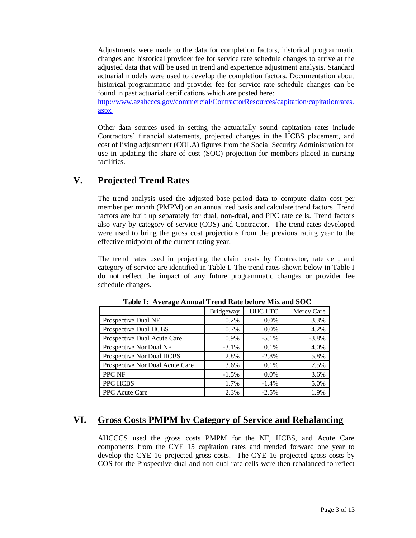Adjustments were made to the data for completion factors, historical programmatic changes and historical provider fee for service rate schedule changes to arrive at the adjusted data that will be used in trend and experience adjustment analysis. Standard actuarial models were used to develop the completion factors. Documentation about historical programmatic and provider fee for service rate schedule changes can be found in past actuarial certifications which are posted here:

[http://www.azahcccs.gov/commercial/ContractorResources/capitation/capitationrates.](http://www.azahcccs.gov/commercial/ContractorResources/capitation/capitationrates.aspx) [aspx](http://www.azahcccs.gov/commercial/ContractorResources/capitation/capitationrates.aspx)

Other data sources used in setting the actuarially sound capitation rates include Contractors' financial statements, projected changes in the HCBS placement, and cost of living adjustment (COLA) figures from the Social Security Administration for use in updating the share of cost (SOC) projection for members placed in nursing facilities.

## **V. Projected Trend Rates**

The trend analysis used the adjusted base period data to compute claim cost per member per month (PMPM) on an annualized basis and calculate trend factors. Trend factors are built up separately for dual, non-dual, and PPC rate cells. Trend factors also vary by category of service (COS) and Contractor. The trend rates developed were used to bring the gross cost projections from the previous rating year to the effective midpoint of the current rating year.

The trend rates used in projecting the claim costs by Contractor, rate cell, and category of service are identified in Table I. The trend rates shown below in Table I do not reflect the impact of any future programmatic changes or provider fee schedule changes.

|                                | Bridgeway | UHC LTC  | Mercy Care |
|--------------------------------|-----------|----------|------------|
| Prospective Dual NF            | 0.2%      | 0.0%     | 3.3%       |
| Prospective Dual HCBS          | 0.7%      | $0.0\%$  | 4.2%       |
| Prospective Dual Acute Care    | 0.9%      | $-5.1\%$ | $-3.8\%$   |
| Prospective NonDual NF         | $-3.1%$   | 0.1%     | 4.0%       |
| Prospective NonDual HCBS       | 2.8%      | $-2.8%$  | 5.8%       |
| Prospective NonDual Acute Care | 3.6%      | $0.1\%$  | 7.5%       |
| PPC NF                         | $-1.5%$   | $0.0\%$  | 3.6%       |
| PPC HCBS                       | 1.7%      | $-1.4%$  | 5.0%       |
| PPC Acute Care                 | 2.3%      | $-2.5%$  | 1.9%       |

 **Table I: Average Annual Trend Rate before Mix and SOC**

## **VI. Gross Costs PMPM by Category of Service and Rebalancing**

AHCCCS used the gross costs PMPM for the NF, HCBS, and Acute Care components from the CYE 15 capitation rates and trended forward one year to develop the CYE 16 projected gross costs. The CYE 16 projected gross costs by COS for the Prospective dual and non-dual rate cells were then rebalanced to reflect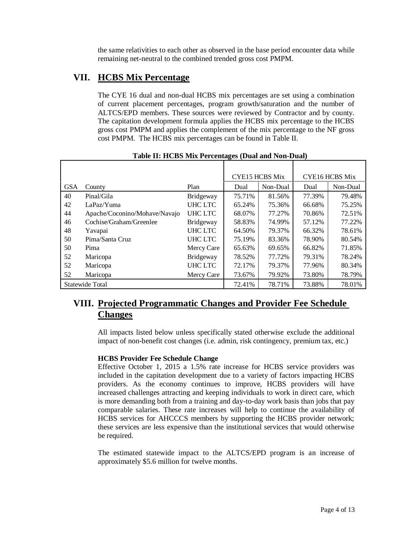the same relativities to each other as observed in the base period encounter data while remaining net-neutral to the combined trended gross cost PMPM.

## **VII. HCBS Mix Percentage**

The CYE 16 dual and non-dual HCBS mix percentages are set using a combination of current placement percentages, program growth/saturation and the number of ALTCS/EPD members. These sources were reviewed by Contractor and by county. The capitation development formula applies the HCBS mix percentage to the HCBS gross cost PMPM and applies the complement of the mix percentage to the NF gross cost PMPM. The HCBS mix percentages can be found in Table II.

|            |                               |            |        | <b>CYE15 HCBS Mix</b> |        | <b>CYE16 HCBS Mix</b> |  |
|------------|-------------------------------|------------|--------|-----------------------|--------|-----------------------|--|
| <b>GSA</b> | County                        | Plan       | Dual   | Non-Dual              | Dual   | Non-Dual              |  |
| 40         | Pinal/Gila                    | Bridgeway  | 75.71% | 81.56%                | 77.39% | 79.48%                |  |
| 42         | LaPaz/Yuma                    | UHC LTC    | 65.24% | 75.36%                | 66.68% | 75.25%                |  |
| 44         | Apache/Coconino/Mohave/Navajo | UHC LTC    | 68.07% | 77.27%                | 70.86% | 72.51%                |  |
| 46         | Cochise/Graham/Greenlee       | Bridgeway  | 58.83% | 74.99%                | 57.12% | 77.22%                |  |
| 48         | Yavapai                       | UHC LTC    | 64.50% | 79.37%                | 66.32% | 78.61%                |  |
| 50         | Pima/Santa Cruz               | UHC LTC    | 75.19% | 83.36%                | 78.90% | 80.54%                |  |
| 50         | Pima                          | Mercy Care | 65.63% | 69.65%                | 66.82% | 71.85%                |  |
| 52         | Maricopa                      | Bridgeway  | 78.52% | 77.72%                | 79.31% | 78.24%                |  |
| 52         | Maricopa                      | UHC LTC    | 72.17% | 79.37%                | 77.96% | 80.34%                |  |
| 52         | Maricopa                      | Mercy Care | 73.67% | 79.92%                | 73.80% | 78.79%                |  |
|            | Statewide Total               |            | 72.41% | 78.71%                | 73.88% | 78.01%                |  |

**Table II: HCBS Mix Percentages (Dual and Non-Dual)**

# **VIII. Projected Programmatic Changes and Provider Fee Schedule Changes**

All impacts listed below unless specifically stated otherwise exclude the additional impact of non-benefit cost changes (i.e. admin, risk contingency, premium tax, etc.)

### **HCBS Provider Fee Schedule Change**

Effective October 1, 2015 a 1.5% rate increase for HCBS service providers was included in the capitation development due to a variety of factors impacting HCBS providers. As the economy continues to improve, HCBS providers will have increased challenges attracting and keeping individuals to work in direct care, which is more demanding both from a training and day-to-day work basis than jobs that pay comparable salaries. These rate increases will help to continue the availability of HCBS services for AHCCCS members by supporting the HCBS provider network; these services are less expensive than the institutional services that would otherwise be required.

The estimated statewide impact to the ALTCS/EPD program is an increase of approximately \$5.6 million for twelve months.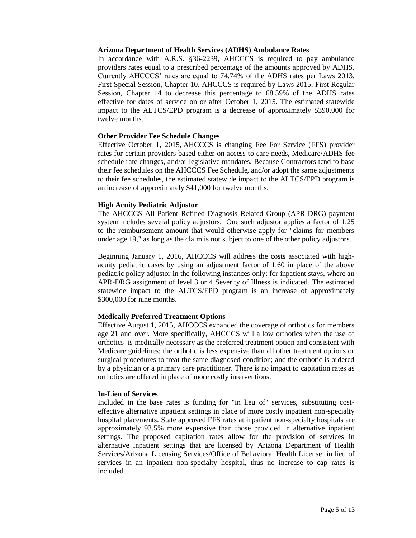#### **Arizona Department of Health Services (ADHS) Ambulance Rates**

In accordance with A.R.S. §36-2239, AHCCCS is required to pay ambulance providers rates equal to a prescribed percentage of the amounts approved by ADHS. Currently AHCCCS' rates are equal to 74.74% of the ADHS rates per Laws 2013, First Special Session, Chapter 10. AHCCCS is required by Laws 2015, First Regular Session, Chapter 14 to decrease this percentage to 68.59% of the ADHS rates effective for dates of service on or after October 1, 2015. The estimated statewide impact to the ALTCS/EPD program is a decrease of approximately \$390,000 for twelve months.

### **Other Provider Fee Schedule Changes**

Effective October 1, 2015, AHCCCS is changing Fee For Service (FFS) provider rates for certain providers based either on access to care needs, Medicare/ADHS fee schedule rate changes, and/or legislative mandates. Because Contractors tend to base their fee schedules on the AHCCCS Fee Schedule, and/or adopt the same adjustments to their fee schedules, the estimated statewide impact to the ALTCS/EPD program is an increase of approximately \$41,000 for twelve months.

### **High Acuity Pediatric Adjustor**

The AHCCCS All Patient Refined Diagnosis Related Group (APR-DRG) payment system includes several policy adjustors. One such adjustor applies a factor of 1.25 to the reimbursement amount that would otherwise apply for "claims for members under age 19," as long as the claim is not subject to one of the other policy adjustors.

Beginning January 1, 2016, AHCCCS will address the costs associated with highacuity pediatric cases by using an adjustment factor of 1.60 in place of the above pediatric policy adjustor in the following instances only: for inpatient stays, where an APR-DRG assignment of level 3 or 4 Severity of Illness is indicated. The estimated statewide impact to the ALTCS/EPD program is an increase of approximately \$300,000 for nine months.

### **Medically Preferred Treatment Options**

Effective August 1, 2015, AHCCCS expanded the coverage of orthotics for members age 21 and over. More specifically, AHCCCS will allow orthotics when the use of orthotics is medically necessary as the preferred treatment option and consistent with Medicare guidelines; the orthotic is less expensive than all other treatment options or surgical procedures to treat the same diagnosed condition; and the orthotic is ordered by a physician or a primary care practitioner. There is no impact to capitation rates as orthotics are offered in place of more costly interventions.

### **In-Lieu of Services**

Included in the base rates is funding for "in lieu of" services, substituting costeffective alternative inpatient settings in place of more costly inpatient non-specialty hospital placements. State approved FFS rates at inpatient non-specialty hospitals are approximately 93.5% more expensive than those provided in alternative inpatient settings. The proposed capitation rates allow for the provision of services in alternative inpatient settings that are licensed by Arizona Department of Health Services/Arizona Licensing Services/Office of Behavioral Health License, in lieu of services in an inpatient non-specialty hospital, thus no increase to cap rates is included.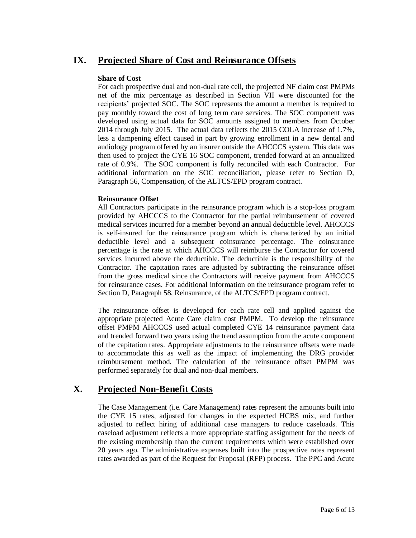## **IX. Projected Share of Cost and Reinsurance Offsets**

### **Share of Cost**

For each prospective dual and non-dual rate cell, the projected NF claim cost PMPMs net of the mix percentage as described in Section VII were discounted for the recipients' projected SOC. The SOC represents the amount a member is required to pay monthly toward the cost of long term care services. The SOC component was developed using actual data for SOC amounts assigned to members from October 2014 through July 2015. The actual data reflects the 2015 COLA increase of 1.7%, less a dampening effect caused in part by growing enrollment in a new dental and audiology program offered by an insurer outside the AHCCCS system. This data was then used to project the CYE 16 SOC component, trended forward at an annualized rate of 0.9%. The SOC component is fully reconciled with each Contractor. For additional information on the SOC reconciliation, please refer to Section D, Paragraph 56, Compensation, of the ALTCS/EPD program contract.

#### **Reinsurance Offset**

All Contractors participate in the reinsurance program which is a stop-loss program provided by AHCCCS to the Contractor for the partial reimbursement of covered medical services incurred for a member beyond an annual deductible level. AHCCCS is self-insured for the reinsurance program which is characterized by an initial deductible level and a subsequent coinsurance percentage. The coinsurance percentage is the rate at which AHCCCS will reimburse the Contractor for covered services incurred above the deductible. The deductible is the responsibility of the Contractor. The capitation rates are adjusted by subtracting the reinsurance offset from the gross medical since the Contractors will receive payment from AHCCCS for reinsurance cases. For additional information on the reinsurance program refer to Section D, Paragraph 58, Reinsurance, of the ALTCS/EPD program contract.

The reinsurance offset is developed for each rate cell and applied against the appropriate projected Acute Care claim cost PMPM. To develop the reinsurance offset PMPM AHCCCS used actual completed CYE 14 reinsurance payment data and trended forward two years using the trend assumption from the acute component of the capitation rates. Appropriate adjustments to the reinsurance offsets were made to accommodate this as well as the impact of implementing the DRG provider reimbursement method. The calculation of the reinsurance offset PMPM was performed separately for dual and non-dual members.

## **X. Projected Non-Benefit Costs**

The Case Management (i.e. Care Management) rates represent the amounts built into the CYE 15 rates, adjusted for changes in the expected HCBS mix, and further adjusted to reflect hiring of additional case managers to reduce caseloads. This caseload adjustment reflects a more appropriate staffing assignment for the needs of the existing membership than the current requirements which were established over 20 years ago. The administrative expenses built into the prospective rates represent rates awarded as part of the Request for Proposal (RFP) process. The PPC and Acute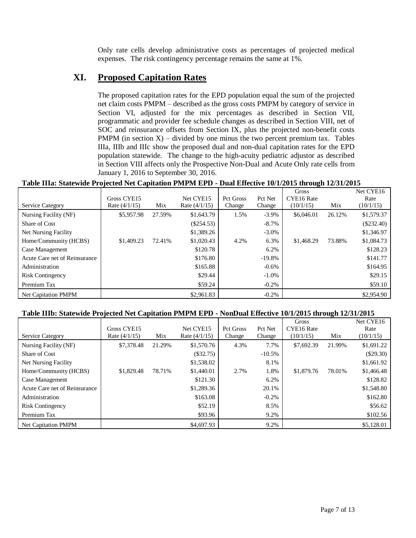Only rate cells develop administrative costs as percentages of projected medical expenses. The risk contingency percentage remains the same at 1%.

## **XI. Proposed Capitation Rates**

The proposed capitation rates for the EPD population equal the sum of the projected net claim costs PMPM – described as the gross costs PMPM by category of service in Section VI, adjusted for the mix percentages as described in Section VII, programmatic and provider fee schedule changes as described in Section VIII, net of SOC and reinsurance offsets from Section IX, plus the projected non-benefit costs PMPM (in section  $X$ ) – divided by one minus the two percent premium tax. Tables IIIa, IIIb and IIIc show the proposed dual and non-dual capitation rates for the EPD population statewide. The change to the high-acuity pediatric adjustor as described in Section VIII affects only the Prospective Non-Dual and Acute Only rate cells from January 1, 2016 to September 30, 2016.

### **Table IIIa: Statewide Projected Net Capitation PMPM EPD - Dual Effective 10/1/2015 through 12/31/2015**

|                               |                 |        |                 |           |           | Gross      |        | Net CYE16    |
|-------------------------------|-----------------|--------|-----------------|-----------|-----------|------------|--------|--------------|
|                               | Gross CYE15     |        | Net CYE15       | Pct Gross | Pct Net   | CYE16 Rate |        | Rate         |
| <b>Service Category</b>       | Rate $(4/1/15)$ | Mix    | Rate $(4/1/15)$ | Change    | Change    | (10/1/15)  | Mix    | (10/1/15)    |
| Nursing Facility (NF)         | \$5,957.98      | 27.59% | \$1,643.79      | 1.5%      | $-3.9\%$  | \$6,046.01 | 26.12% | \$1,579.37   |
| Share of Cost                 |                 |        | $(\$254.53)$    |           | $-8.7\%$  |            |        | $(\$232.40)$ |
| Net Nursing Facility          |                 |        | \$1,389.26      |           | $-3.0\%$  |            |        | \$1,346.97   |
| Home/Community (HCBS)         | \$1,409.23      | 72.41% | \$1,020.43      | 4.2%      | 6.3%      | \$1,468.29 | 73.88% | \$1,084.73   |
| Case Management               |                 |        | \$120.78        |           | 6.2%      |            |        | \$128.23     |
| Acute Care net of Reinsurance |                 |        | \$176.80        |           | $-19.8\%$ |            |        | \$141.77     |
| Administration                |                 |        | \$165.88        |           | $-0.6\%$  |            |        | \$164.95     |
| <b>Risk Contingency</b>       |                 |        | \$29.44         |           | $-1.0\%$  |            |        | \$29.15      |
| Premium Tax                   |                 |        | \$59.24         |           | $-0.2\%$  |            |        | \$59.10      |
| <b>Net Capitation PMPM</b>    |                 |        | \$2,961.83      |           | $-0.2\%$  |            |        | \$2,954.90   |

#### **Table IIIb: Statewide Projected Net Capitation PMPM EPD - NonDual Effective 10/1/2015 through 12/31/2015**

|                               |                 |        |                 |                  |           | Gross      |        | Net CYE16   |
|-------------------------------|-----------------|--------|-----------------|------------------|-----------|------------|--------|-------------|
|                               | Gross CYE15     |        | Net CYE15       | <b>Pct Gross</b> | Pct Net   | CYE16 Rate |        | Rate        |
| Service Category              | Rate $(4/1/15)$ | Mix    | Rate $(4/1/15)$ | Change           | Change    | (10/1/15)  | Mix    | (10/1/15)   |
| Nursing Facility (NF)         | \$7,378.48      | 21.29% | \$1,570.76      | 4.3%             | 7.7%      | \$7,692.39 | 21.99% | \$1,691.22  |
| Share of Cost                 |                 |        | $(\$32.75)$     |                  | $-10.5\%$ |            |        | $(\$29.30)$ |
| <b>Net Nursing Facility</b>   |                 |        | \$1,538.02      |                  | 8.1%      |            |        | \$1,661.92  |
| Home/Community (HCBS)         | \$1,829.48      | 78.71% | \$1,440.01      | 2.7%             | 1.8%      | \$1,879.76 | 78.01% | \$1,466.48  |
| Case Management               |                 |        | \$121.30        |                  | 6.2%      |            |        | \$128.82    |
| Acute Care net of Reinsurance |                 |        | \$1,289.36      |                  | 20.1%     |            |        | \$1,548.80  |
| Administration                |                 |        | \$163.08        |                  | $-0.2%$   |            |        | \$162.80    |
| <b>Risk Contingency</b>       |                 |        | \$52.19         |                  | 8.5%      |            |        | \$56.62     |
| Premium Tax                   |                 |        | \$93.96         |                  | 9.2%      |            |        | \$102.56    |
| <b>Net Capitation PMPM</b>    |                 |        | \$4,697.93      |                  | 9.2%      |            |        | \$5,128.01  |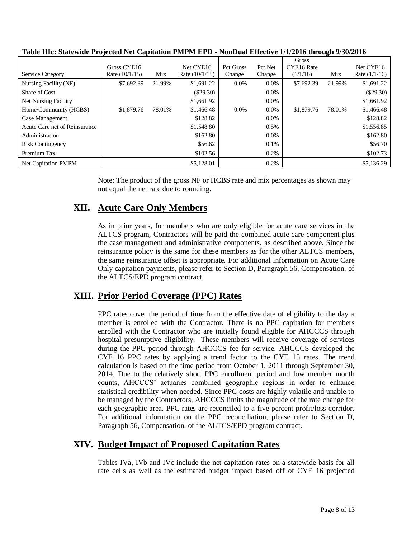|                               |                  |        |                  |                  |         | Gross      |        |                 |
|-------------------------------|------------------|--------|------------------|------------------|---------|------------|--------|-----------------|
|                               | Gross CYE16      |        | Net CYE16        | <b>Pct Gross</b> | Pct Net | CYE16 Rate |        | Net CYE16       |
| Service Category              | Rate $(10/1/15)$ | Mix    | Rate $(10/1/15)$ | Change           | Change  | (1/1/16)   | Mix    | Rate $(1/1/16)$ |
| Nursing Facility (NF)         | \$7,692.39       | 21.99% | \$1,691.22       | $0.0\%$          | $0.0\%$ | \$7,692.39 | 21.99% | \$1,691.22      |
| Share of Cost                 |                  |        | $(\$29.30)$      |                  | $0.0\%$ |            |        | $(\$29.30)$     |
| Net Nursing Facility          |                  |        | \$1,661.92       |                  | $0.0\%$ |            |        | \$1,661.92      |
| Home/Community (HCBS)         | \$1,879.76       | 78.01% | \$1,466.48       | $0.0\%$          | $0.0\%$ | \$1,879.76 | 78.01% | \$1,466.48      |
| Case Management               |                  |        | \$128.82         |                  | $0.0\%$ |            |        | \$128.82        |
| Acute Care net of Reinsurance |                  |        | \$1,548.80       |                  | $0.5\%$ |            |        | \$1,556.85      |
| Administration                |                  |        | \$162.80         |                  | $0.0\%$ |            |        | \$162.80        |
| <b>Risk Contingency</b>       |                  |        | \$56.62          |                  | $0.1\%$ |            |        | \$56.70         |
| Premium Tax                   |                  |        | \$102.56         |                  | $0.2\%$ |            |        | \$102.73        |
| <b>Net Capitation PMPM</b>    |                  |        | \$5,128.01       |                  | 0.2%    |            |        | \$5,136.29      |

**Table IIIc: Statewide Projected Net Capitation PMPM EPD - NonDual Effective 1/1/2016 through 9/30/2016**

Note: The product of the gross NF or HCBS rate and mix percentages as shown may not equal the net rate due to rounding.

## **XII. Acute Care Only Members**

As in prior years, for members who are only eligible for acute care services in the ALTCS program, Contractors will be paid the combined acute care component plus the case management and administrative components, as described above. Since the reinsurance policy is the same for these members as for the other ALTCS members, the same reinsurance offset is appropriate. For additional information on Acute Care Only capitation payments, please refer to Section D, Paragraph 56, Compensation, of the ALTCS/EPD program contract.

## **XIII. Prior Period Coverage (PPC) Rates**

PPC rates cover the period of time from the effective date of eligibility to the day a member is enrolled with the Contractor. There is no PPC capitation for members enrolled with the Contractor who are initially found eligible for AHCCCS through hospital presumptive eligibility. These members will receive coverage of services during the PPC period through AHCCCS fee for service. AHCCCS developed the CYE 16 PPC rates by applying a trend factor to the CYE 15 rates. The trend calculation is based on the time period from October 1, 2011 through September 30, 2014. Due to the relatively short PPC enrollment period and low member month counts, AHCCCS' actuaries combined geographic regions in order to enhance statistical credibility when needed. Since PPC costs are highly volatile and unable to be managed by the Contractors, AHCCCS limits the magnitude of the rate change for each geographic area. PPC rates are reconciled to a five percent profit/loss corridor. For additional information on the PPC reconciliation, please refer to Section D, Paragraph 56, Compensation, of the ALTCS/EPD program contract.

## **XIV. Budget Impact of Proposed Capitation Rates**

Tables IVa, IVb and IVc include the net capitation rates on a statewide basis for all rate cells as well as the estimated budget impact based off of CYE 16 projected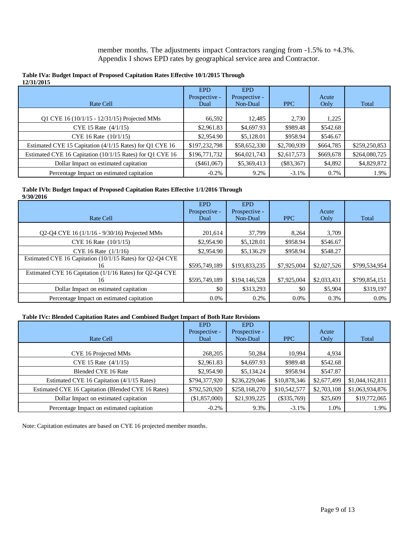member months. The adjustments impact Contractors ranging from -1.5% to +4.3%. Appendix I shows EPD rates by geographical service area and Contractor.

| 12/31/2015                                                |               |               |              |           |               |
|-----------------------------------------------------------|---------------|---------------|--------------|-----------|---------------|
|                                                           | <b>EPD</b>    | <b>EPD</b>    |              |           |               |
|                                                           | Prospective - | Prospective - |              | Acute     |               |
| Rate Cell                                                 | Dual          | Non-Dual      | <b>PPC</b>   | Only      | Total         |
|                                                           |               |               |              |           |               |
| Q1 CYE 16 (10/1/15 - 12/31/15) Projected MMs              | 66,592        | 12,485        | 2,730        | 1,225     |               |
| CYE 15 Rate (4/1/15)                                      | \$2,961.83    | \$4,697.93    | \$989.48     | \$542.68  |               |
| CYE 16 Rate (10/1/15)                                     | \$2,954.90    | \$5,128.01    | \$958.94     | \$546.67  |               |
| Estimated CYE 15 Capitation (4/1/15 Rates) for Q1 CYE 16  | \$197,232,798 | \$58,652,330  | \$2,700,939  | \$664,785 | \$259,250,853 |
| Estimated CYE 16 Capitation (10/1/15 Rates) for Q1 CYE 16 | \$196,771,732 | \$64,021,743  | \$2,617,573  | \$669,678 | \$264,080,725 |
| Dollar Impact on estimated capitation                     | $(\$461,067)$ | \$5,369,413   | $(\$83,367)$ | \$4,892   | \$4,829,872   |
| Percentage Impact on estimated capitation                 | $-0.2\%$      | 9.2%          | $-3.1\%$     | 0.7%      | 1.9%          |

#### **Table IVa: Budget Impact of Proposed Capitation Rates Effective 10/1/2015 Through 12/31/2015**

#### **Table IVb: Budget Impact of Proposed Capitation Rates Effective 1/1/2016 Through 9/30/2016**

| Rate Cell                                                       | <b>EPD</b><br>Prospective -<br>Dual | <b>EPD</b><br>Prospective -<br>Non-Dual | <b>PPC</b>  | Acute<br>Only | Total         |
|-----------------------------------------------------------------|-------------------------------------|-----------------------------------------|-------------|---------------|---------------|
| Q2-Q4 CYE 16 (1/1/16 - 9/30/16) Projected MMs                   | 201,614                             | 37,799                                  | 8.264       | 3,709         |               |
| CYE 16 Rate (10/1/15)                                           | \$2,954.90                          | \$5,128.01                              | \$958.94    | \$546.67      |               |
| CYE 16 Rate (1/1/16)                                            | \$2,954.90                          | \$5,136.29                              | \$958.94    | \$548.27      |               |
| Estimated CYE 16 Capitation (10/1/15 Rates) for Q2-Q4 CYE<br>16 | \$595,749,189                       | \$193,833,235                           | \$7,925,004 | \$2,027,526   | \$799,534,954 |
| Estimated CYE 16 Capitation (1/1/16 Rates) for Q2-Q4 CYE<br>16  | \$595,749,189                       | \$194,146,528                           | \$7,925,004 | \$2,033,431   | \$799,854,151 |
| Dollar Impact on estimated capitation                           | \$0                                 | \$313,293                               | \$0         | \$5,904       | \$319,197     |
| Percentage Impact on estimated capitation                       | $0.0\%$                             | 0.2%                                    | $0.0\%$     | 0.3%          | $0.0\%$       |

### **Table IVc: Blended Capitation Rates and Combined Budget Impact of Both Rate Revisions**

|                                                    | <b>EPD</b>    | <b>EPD</b>    |               |             |                 |
|----------------------------------------------------|---------------|---------------|---------------|-------------|-----------------|
|                                                    | Prospective - | Prospective - |               | Acute       |                 |
| <b>Rate Cell</b>                                   | Dual          | Non-Dual      | <b>PPC</b>    | Only        | Total           |
|                                                    |               |               |               |             |                 |
| CYE 16 Projected MMs                               | 268,205       | 50,284        | 10,994        | 4,934       |                 |
| CYE 15 Rate (4/1/15)                               | \$2,961.83    | \$4,697.93    | \$989.48      | \$542.68    |                 |
| <b>Blended CYE 16 Rate</b>                         | \$2,954.90    | \$5,134.24    | \$958.94      | \$547.87    |                 |
| Estimated CYE 16 Capitation (4/1/15 Rates)         | \$794,377,920 | \$236,229,046 | \$10,878,346  | \$2,677,499 | \$1,044,162,811 |
| Estimated CYE 16 Capitation (Blended CYE 16 Rates) | \$792,520,920 | \$258,168,270 | \$10,542,577  | \$2,703,108 | \$1,063,934,876 |
| Dollar Impact on estimated capitation              | (\$1,857,000) | \$21,939,225  | $(\$335,769)$ | \$25,609    | \$19,772,065    |
| Percentage Impact on estimated capitation          | $-0.2\%$      | 9.3%          | $-3.1\%$      | 1.0%        | 1.9%            |

Note: Capitation estimates are based on CYE 16 projected member months.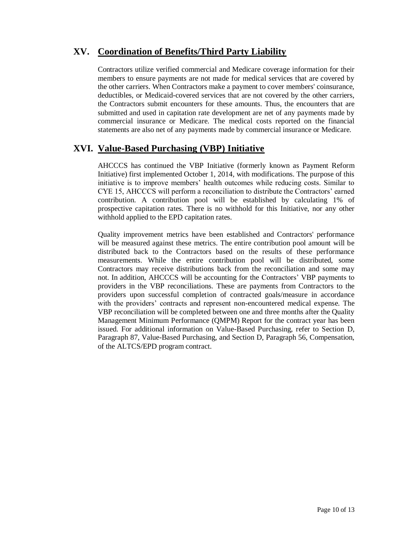# **XV. Coordination of Benefits/Third Party Liability**

Contractors utilize verified commercial and Medicare coverage information for their members to ensure payments are not made for medical services that are covered by the other carriers. When Contractors make a payment to cover members' coinsurance, deductibles, or Medicaid-covered services that are not covered by the other carriers, the Contractors submit encounters for these amounts. Thus, the encounters that are submitted and used in capitation rate development are net of any payments made by commercial insurance or Medicare. The medical costs reported on the financial statements are also net of any payments made by commercial insurance or Medicare.

## **XVI. Value-Based Purchasing (VBP) Initiative**

AHCCCS has continued the VBP Initiative (formerly known as Payment Reform Initiative) first implemented October 1, 2014, with modifications. The purpose of this initiative is to improve members' health outcomes while reducing costs. Similar to CYE 15, AHCCCS will perform a reconciliation to distribute the Contractors' earned contribution. A contribution pool will be established by calculating 1% of prospective capitation rates. There is no withhold for this Initiative, nor any other withhold applied to the EPD capitation rates.

Quality improvement metrics have been established and Contractors' performance will be measured against these metrics. The entire contribution pool amount will be distributed back to the Contractors based on the results of these performance measurements. While the entire contribution pool will be distributed, some Contractors may receive distributions back from the reconciliation and some may not. In addition, AHCCCS will be accounting for the Contractors' VBP payments to providers in the VBP reconciliations. These are payments from Contractors to the providers upon successful completion of contracted goals/measure in accordance with the providers' contracts and represent non-encountered medical expense. The VBP reconciliation will be completed between one and three months after the Quality Management Minimum Performance (QMPM) Report for the contract year has been issued. For additional information on Value-Based Purchasing, refer to Section D, Paragraph 87, Value-Based Purchasing, and Section D, Paragraph 56, Compensation, of the ALTCS/EPD program contract.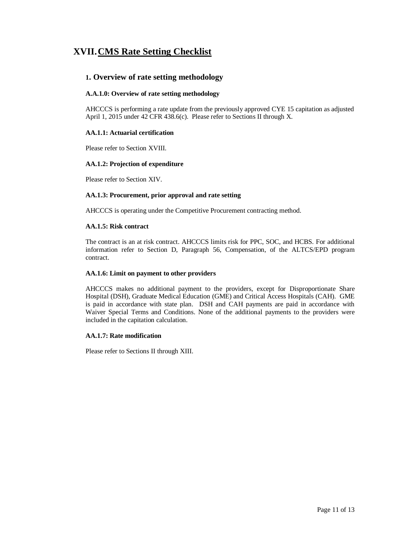# **XVII.CMS Rate Setting Checklist**

### **1. Overview of rate setting methodology**

#### **A.A.1.0: Overview of rate setting methodology**

AHCCCS is performing a rate update from the previously approved CYE 15 capitation as adjusted April 1, 2015 under 42 CFR 438.6(c). Please refer to Sections II through X.

#### **AA.1.1: Actuarial certification**

Please refer to Section XVIII.

#### **AA.1.2: Projection of expenditure**

Please refer to Section XIV.

#### **AA.1.3: Procurement, prior approval and rate setting**

AHCCCS is operating under the Competitive Procurement contracting method.

#### **AA.1.5: Risk contract**

The contract is an at risk contract. AHCCCS limits risk for PPC, SOC, and HCBS. For additional information refer to Section D, Paragraph 56, Compensation, of the ALTCS/EPD program contract.

#### **AA.1.6: Limit on payment to other providers**

AHCCCS makes no additional payment to the providers, except for Disproportionate Share Hospital (DSH), Graduate Medical Education (GME) and Critical Access Hospitals (CAH). GME is paid in accordance with state plan. DSH and CAH payments are paid in accordance with Waiver Special Terms and Conditions. None of the additional payments to the providers were included in the capitation calculation.

#### **AA.1.7: Rate modification**

Please refer to Sections II through XIII.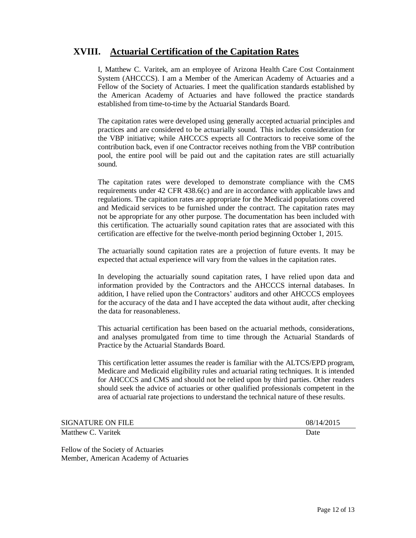## **XVIII. Actuarial Certification of the Capitation Rates**

I, Matthew C. Varitek, am an employee of Arizona Health Care Cost Containment System (AHCCCS). I am a Member of the American Academy of Actuaries and a Fellow of the Society of Actuaries. I meet the qualification standards established by the American Academy of Actuaries and have followed the practice standards established from time-to-time by the Actuarial Standards Board.

The capitation rates were developed using generally accepted actuarial principles and practices and are considered to be actuarially sound. This includes consideration for the VBP initiative; while AHCCCS expects all Contractors to receive some of the contribution back, even if one Contractor receives nothing from the VBP contribution pool, the entire pool will be paid out and the capitation rates are still actuarially sound.

The capitation rates were developed to demonstrate compliance with the CMS requirements under 42 CFR 438.6(c) and are in accordance with applicable laws and regulations. The capitation rates are appropriate for the Medicaid populations covered and Medicaid services to be furnished under the contract. The capitation rates may not be appropriate for any other purpose. The documentation has been included with this certification. The actuarially sound capitation rates that are associated with this certification are effective for the twelve-month period beginning October 1, 2015.

The actuarially sound capitation rates are a projection of future events. It may be expected that actual experience will vary from the values in the capitation rates.

In developing the actuarially sound capitation rates, I have relied upon data and information provided by the Contractors and the AHCCCS internal databases. In addition, I have relied upon the Contractors' auditors and other AHCCCS employees for the accuracy of the data and I have accepted the data without audit, after checking the data for reasonableness.

This actuarial certification has been based on the actuarial methods, considerations, and analyses promulgated from time to time through the Actuarial Standards of Practice by the Actuarial Standards Board.

This certification letter assumes the reader is familiar with the ALTCS/EPD program, Medicare and Medicaid eligibility rules and actuarial rating techniques. It is intended for AHCCCS and CMS and should not be relied upon by third parties. Other readers should seek the advice of actuaries or other qualified professionals competent in the area of actuarial rate projections to understand the technical nature of these results.

| <b>SIGNATURE ON FILE</b> | 08/14/2015 |
|--------------------------|------------|
| Matthew C. Varitek       | Date       |

Fellow of the Society of Actuaries Member, American Academy of Actuaries